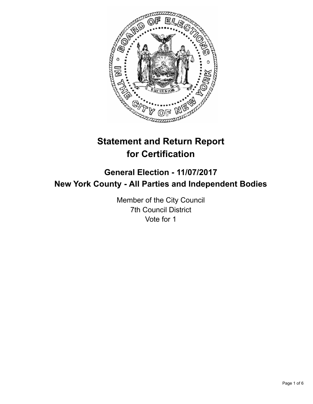

# **Statement and Return Report for Certification**

## **General Election - 11/07/2017 New York County - All Parties and Independent Bodies**

Member of the City Council 7th Council District Vote for 1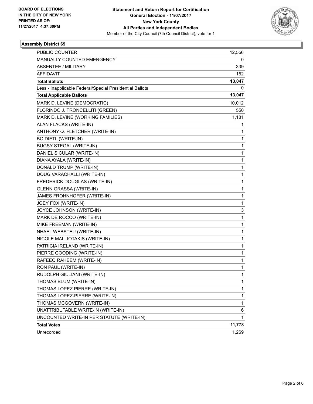

### **Assembly District 69**

| PUBLIC COUNTER                                           | 12,556 |
|----------------------------------------------------------|--------|
| MANUALLY COUNTED EMERGENCY                               | 0      |
| <b>ABSENTEE / MILITARY</b>                               | 339    |
| <b>AFFIDAVIT</b>                                         | 152    |
| <b>Total Ballots</b>                                     | 13,047 |
| Less - Inapplicable Federal/Special Presidential Ballots | 0      |
| <b>Total Applicable Ballots</b>                          | 13,047 |
| MARK D. LEVINE (DEMOCRATIC)                              | 10,012 |
| FLORINDO J. TRONCELLITI (GREEN)                          | 550    |
| MARK D. LEVINE (WORKING FAMILIES)                        | 1,181  |
| ALAN FLACKS (WRITE-IN)                                   | 1      |
| ANTHONY Q. FLETCHER (WRITE-IN)                           | 1      |
| <b>BO DIETL (WRITE-IN)</b>                               | 1      |
| <b>BUGSY STEGAL (WRITE-IN)</b>                           | 1      |
| DANIEL SICULAR (WRITE-IN)                                | 1      |
| DIANA AYALA (WRITE-IN)                                   | 1      |
| DONALD TRUMP (WRITE-IN)                                  | 1      |
| DOUG VARACHALLI (WRITE-IN)                               | 1      |
| FREDERICK DOUGLAS (WRITE-IN)                             | 1      |
| GLENN GRASSA (WRITE-IN)                                  | 1      |
| JAMES FROHNHOFER (WRITE-IN)                              | 1      |
| JOEY FOX (WRITE-IN)                                      | 1      |
| JOYCE JOHNSON (WRITE-IN)                                 | 3      |
| MARK DE ROCCO (WRITE-IN)                                 | 1      |
| MIKE FREEMAN (WRITE-IN)                                  | 1      |
| NHAEL WEBSTEU (WRITE-IN)                                 | 1      |
| NICOLE MALLIOTAKIS (WRITE-IN)                            | 1      |
| PATRICIA IRELAND (WRITE-IN)                              | 1      |
| PIERRE GOODING (WRITE-IN)                                | 1      |
| RAFEEQ RAHEEM (WRITE-IN)                                 | 1      |
| RON PAUL (WRITE-IN)                                      | 1      |
| RUDOLPH GIULIANI (WRITE-IN)                              | 1      |
| THOMAS BLUM (WRITE-IN)                                   | 1      |
| THOMAS LOPEZ PIERRE (WRITE-IN)                           | 1      |
| THOMAS LOPEZ-PIERRE (WRITE-IN)                           | 1      |
| THOMAS MCGOVERN (WRITE-IN)                               | 1      |
| UNATTRIBUTABLE WRITE-IN (WRITE-IN)                       | 6      |
| UNCOUNTED WRITE-IN PER STATUTE (WRITE-IN)                | 1      |
| <b>Total Votes</b>                                       | 11,778 |
| Unrecorded                                               | 1,269  |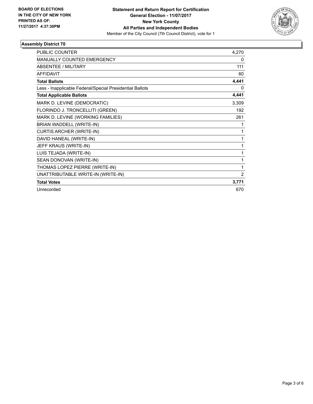

### **Assembly District 70**

| <b>PUBLIC COUNTER</b>                                    | 4,270 |
|----------------------------------------------------------|-------|
| <b>MANUALLY COUNTED EMERGENCY</b>                        | 0     |
| ABSENTEE / MILITARY                                      | 111   |
| <b>AFFIDAVIT</b>                                         | 60    |
| <b>Total Ballots</b>                                     | 4,441 |
| Less - Inapplicable Federal/Special Presidential Ballots | 0     |
| <b>Total Applicable Ballots</b>                          | 4,441 |
| MARK D. LEVINE (DEMOCRATIC)                              | 3,309 |
| FLORINDO J. TRONCELLITI (GREEN)                          | 192   |
| MARK D. LEVINE (WORKING FAMILIES)                        | 261   |
| BRIAN WADDELL (WRITE-IN)                                 | 1     |
| <b>CURTIS ARCHER (WRITE-IN)</b>                          | 1     |
| DAVID HANEAL (WRITE-IN)                                  | 1     |
| JEFF KRAUS (WRITE-IN)                                    | 1     |
| LUIS TEJADA (WRITE-IN)                                   | 1     |
| SEAN DONOVAN (WRITE-IN)                                  | 1     |
| THOMAS LOPEZ PIERRE (WRITE-IN)                           | 1     |
| UNATTRIBUTABLE WRITE-IN (WRITE-IN)                       | 2     |
| <b>Total Votes</b>                                       | 3,771 |
| Unrecorded                                               | 670   |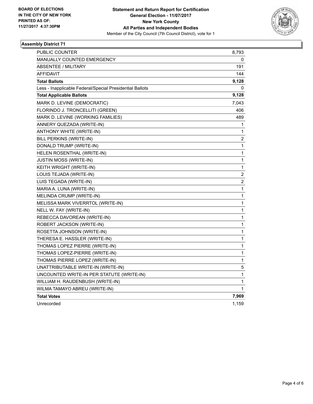

### **Assembly District 71**

| PUBLIC COUNTER                                           | 8,793            |
|----------------------------------------------------------|------------------|
| <b>MANUALLY COUNTED EMERGENCY</b>                        | 0                |
| <b>ABSENTEE / MILITARY</b>                               | 191              |
| <b>AFFIDAVIT</b>                                         | 144              |
| <b>Total Ballots</b>                                     | 9,128            |
| Less - Inapplicable Federal/Special Presidential Ballots | 0                |
| <b>Total Applicable Ballots</b>                          | 9,128            |
| MARK D. LEVINE (DEMOCRATIC)                              | 7,043            |
| FLORINDO J. TRONCELLITI (GREEN)                          | 406              |
| MARK D. LEVINE (WORKING FAMILIES)                        | 489              |
| ANNERY QUEZADA (WRITE-IN)                                | 1                |
| ANTHONY WHITE (WRITE-IN)                                 | 1                |
| BILL PERKINS (WRITE-IN)                                  | $\boldsymbol{2}$ |
| DONALD TRUMP (WRITE-IN)                                  | 1                |
| HELEN ROSENTHAL (WRITE-IN)                               | 1                |
| <b>JUSTIN MOSS (WRITE-IN)</b>                            | 1                |
| KEITH WRIGHT (WRITE-IN)                                  | 1                |
| LOUIS TEJADA (WRITE-IN)                                  | $\overline{c}$   |
| LUIS TEGADA (WRITE-IN)                                   | 2                |
| MARIA A. LUNA (WRITE-IN)                                 | 1                |
| MELINDA CRUMP (WRITE-IN)                                 | 1                |
| MELISSA MARK VIVERRTOL (WRITE-IN)                        | 1                |
| NELL W. FAY (WRITE-IN)                                   | 1                |
| REBECCA DAVOREAN (WRITE-IN)                              | 1                |
| ROBERT JACKSON (WRITE-IN)                                | 1                |
| ROSETTA JOHNSON (WRITE-IN)                               | 1                |
| THERESA E. HASSLER (WRITE-IN)                            | $\mathbf{1}$     |
| THOMAS LOPEZ PIERRE (WRITE-IN)                           | 1                |
| THOMAS LOPEZ-PIERRE (WRITE-IN)                           | 1                |
| THOMAS PIERRE LOPEZ (WRITE-IN)                           | 1                |
| UNATTRIBUTABLE WRITE-IN (WRITE-IN)                       | 5                |
| UNCOUNTED WRITE-IN PER STATUTE (WRITE-IN)                | 1                |
| WILLIAM H. RAUDENBUSH (WRITE-IN)                         | 1                |
| WILMA TAMAYO ABREU (WRITE-IN)                            | 1                |
| <b>Total Votes</b>                                       | 7,969            |
| Unrecorded                                               | 1,159            |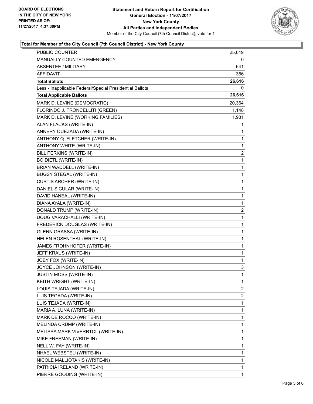

### **Total for Member of the City Council (7th Council District) - New York County**

| <b>PUBLIC COUNTER</b>                                    | 25,619 |
|----------------------------------------------------------|--------|
| MANUALLY COUNTED EMERGENCY                               | 0      |
| <b>ABSENTEE / MILITARY</b>                               | 641    |
| AFFIDAVIT                                                | 356    |
| <b>Total Ballots</b>                                     | 26,616 |
| Less - Inapplicable Federal/Special Presidential Ballots | 0      |
| <b>Total Applicable Ballots</b>                          | 26,616 |
| MARK D. LEVINE (DEMOCRATIC)                              | 20,364 |
| FLORINDO J. TRONCELLITI (GREEN)                          | 1,148  |
| MARK D. LEVINE (WORKING FAMILIES)                        | 1,931  |
| ALAN FLACKS (WRITE-IN)                                   | 1      |
| ANNERY QUEZADA (WRITE-IN)                                | 1      |
| ANTHONY Q. FLETCHER (WRITE-IN)                           | 1      |
| ANTHONY WHITE (WRITE-IN)                                 | 1      |
| BILL PERKINS (WRITE-IN)                                  | 2      |
| <b>BO DIETL (WRITE-IN)</b>                               | 1      |
| BRIAN WADDELL (WRITE-IN)                                 | 1      |
| <b>BUGSY STEGAL (WRITE-IN)</b>                           | 1      |
| CURTIS ARCHER (WRITE-IN)                                 | 1      |
| DANIEL SICULAR (WRITE-IN)                                | 1      |
| DAVID HANEAL (WRITE-IN)                                  | 1      |
| DIANA AYALA (WRITE-IN)                                   | 1      |
| DONALD TRUMP (WRITE-IN)                                  | 2      |
| DOUG VARACHALLI (WRITE-IN)                               | 1      |
| FREDERICK DOUGLAS (WRITE-IN)                             | 1      |
| GLENN GRASSA (WRITE-IN)                                  | 1      |
| HELEN ROSENTHAL (WRITE-IN)                               | 1      |
| JAMES FROHNHOFER (WRITE-IN)                              | 1      |
| JEFF KRAUS (WRITE-IN)                                    | 1      |
| JOEY FOX (WRITE-IN)                                      | 1      |
| JOYCE JOHNSON (WRITE-IN)                                 | 3      |
| JUSTIN MOSS (WRITE-IN)                                   | 1      |
| KEITH WRIGHT (WRITE-IN)                                  | 1      |
| LOUIS TEJADA (WRITE-IN)                                  | 2      |
| LUIS TEGADA (WRITE-IN)                                   | 2      |
| LUIS TEJADA (WRITE-IN)                                   | 1      |
| MARIA A. LUNA (WRITE-IN)                                 | 1      |
| MARK DE ROCCO (WRITE-IN)                                 | 1      |
| MELINDA CRUMP (WRITE-IN)                                 | 1      |
| MELISSA MARK VIVERRTOL (WRITE-IN)                        | 1      |
| MIKE FREEMAN (WRITE-IN)                                  | 1      |
| NELL W. FAY (WRITE-IN)                                   | 1      |
| NHAEL WEBSTEU (WRITE-IN)                                 | 1      |
| NICOLE MALLIOTAKIS (WRITE-IN)                            | 1      |
| PATRICIA IRELAND (WRITE-IN)                              | 1      |
| PIERRE GOODING (WRITE-IN)                                | 1      |
|                                                          |        |